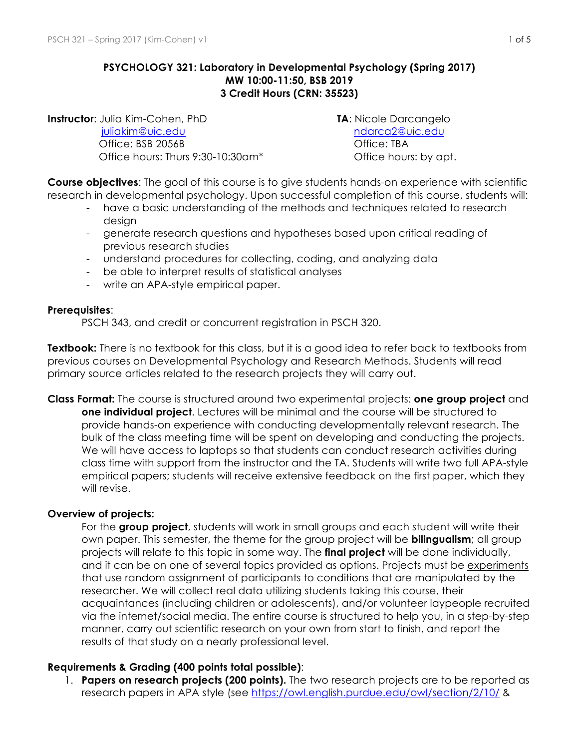## **PSYCHOLOGY 321: Laboratory in Developmental Psychology (Spring 2017) MW 10:00-11:50, BSB 2019 3 Credit Hours (CRN: 35523)**

**Instructor**: Julia Kim-Cohen, PhD **TA**: Nicole Darcangelo [juliakim@uic.edu](mailto:juliakim@uic.edu) [ndarca2@uic.edu](mailto:ndarca2@uic.edu) Office: BSB 2056B Office: TBA Office hours: Thurs 9:30-10:30am\* Office hours: by apt.

**Course objectives**: The goal of this course is to give students hands-on experience with scientific research in developmental psychology. Upon successful completion of this course, students will:

- have a basic understanding of the methods and techniques related to research desian
- generate research questions and hypotheses based upon critical reading of previous research studies
- understand procedures for collecting, coding, and analyzing data
- be able to interpret results of statistical analyses
- write an APA-style empirical paper.

#### **Prerequisites**:

PSCH 343, and credit or concurrent registration in PSCH 320.

**Textbook:** There is no textbook for this class, but it is a good idea to refer back to textbooks from previous courses on Developmental Psychology and Research Methods. Students will read primary source articles related to the research projects they will carry out.

**Class Format:** The course is structured around two experimental projects: **one group project** and **one individual project**. Lectures will be minimal and the course will be structured to provide hands-on experience with conducting developmentally relevant research. The bulk of the class meeting time will be spent on developing and conducting the projects. We will have access to laptops so that students can conduct research activities during class time with support from the instructor and the TA. Students will write two full APA-style empirical papers; students will receive extensive feedback on the first paper, which they will revise.

#### **Overview of projects:**

For the **group project**, students will work in small groups and each student will write their own paper. This semester, the theme for the group project will be **bilingualism**; all group projects will relate to this topic in some way. The **final project** will be done individually, and it can be on one of several topics provided as options. Projects must be experiments that use random assignment of participants to conditions that are manipulated by the researcher. We will collect real data utilizing students taking this course, their acquaintances (including children or adolescents), and/or volunteer laypeople recruited via the internet/social media. The entire course is structured to help you, in a step-by-step manner, carry out scientific research on your own from start to finish, and report the results of that study on a nearly professional level.

#### **Requirements & Grading (400 points total possible)**:

1. **Papers on research projects (200 points).** The two research projects are to be reported as research papers in APA style (see <https://owl.english.purdue.edu/owl/section/2/10/> &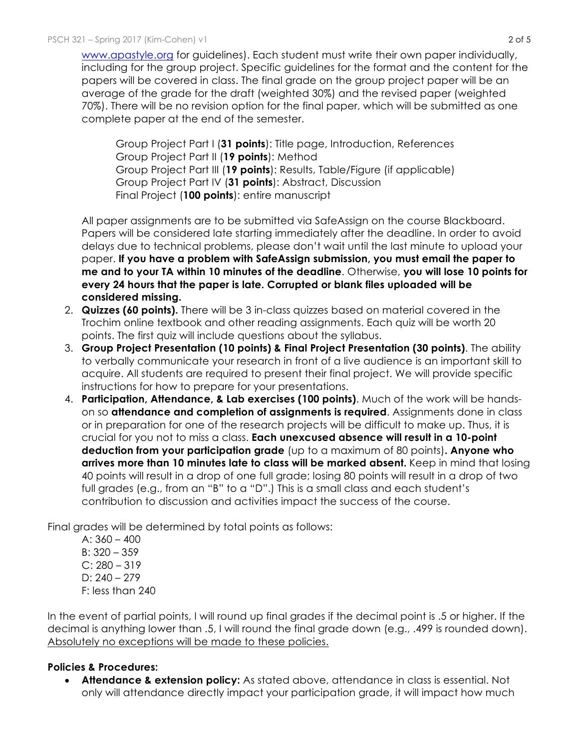[www.apastyle.org](http://www.apastyle.org/) for guidelines). Each student must write their own paper individually, including for the group project. Specific guidelines for the format and the content for the papers will be covered in class. The final grade on the group project paper will be an average of the grade for the draft (weighted 30%) and the revised paper (weighted 70%). There will be no revision option for the final paper, which will be submitted as one complete paper at the end of the semester.

Group Project Part I (**31 points**): Title page, Introduction, References Group Project Part II (**19 points**): Method Group Project Part III (**19 points**): Results, Table/Figure (if applicable) Group Project Part IV (**31 points**): Abstract, Discussion Final Project (**100 points**): entire manuscript

All paper assignments are to be submitted via SafeAssign on the course Blackboard. Papers will be considered late starting immediately after the deadline. In order to avoid delays due to technical problems, please don't wait until the last minute to upload your paper. **If you have a problem with SafeAssign submission, you must email the paper to me and to your TA within 10 minutes of the deadline**. Otherwise, **you will lose 10 points for every 24 hours that the paper is late. Corrupted or blank files uploaded will be considered missing.** 

- 2. **Quizzes (60 points).** There will be 3 in-class quizzes based on material covered in the Trochim online textbook and other reading assignments. Each quiz will be worth 20 points. The first quiz will include questions about the syllabus.
- 3. **Group Project Presentation (10 points) & Final Project Presentation (30 points)**. The ability to verbally communicate your research in front of a live audience is an important skill to acquire. All students are required to present their final project. We will provide specific instructions for how to prepare for your presentations.
- 4. **Participation, Attendance, & Lab exercises (100 points)**. Much of the work will be handson so **attendance and completion of assignments is required**. Assignments done in class or in preparation for one of the research projects will be difficult to make up. Thus, it is crucial for you not to miss a class. **Each unexcused absence will result in a 10-point deduction from your participation grade** (up to a maximum of 80 points)**. Anyone who arrives more than 10 minutes late to class will be marked absent.** Keep in mind that losing 40 points will result in a drop of one full grade; losing 80 points will result in a drop of two full grades (e.g., from an "B" to a "D".) This is a small class and each student's contribution to discussion and activities impact the success of the course.

Final grades will be determined by total points as follows:

A:  $360 - 400$ B: 320 – 359  $C: 280 - 319$  $D: 240 - 279$ F: less than 240

In the event of partial points, I will round up final grades if the decimal point is .5 or higher. If the decimal is anything lower than .5, I will round the final grade down (e.g., .499 is rounded down). Absolutely no exceptions will be made to these policies.

# **Policies & Procedures:**

• **Attendance & extension policy:** As stated above, attendance in class is essential. Not only will attendance directly impact your participation grade, it will impact how much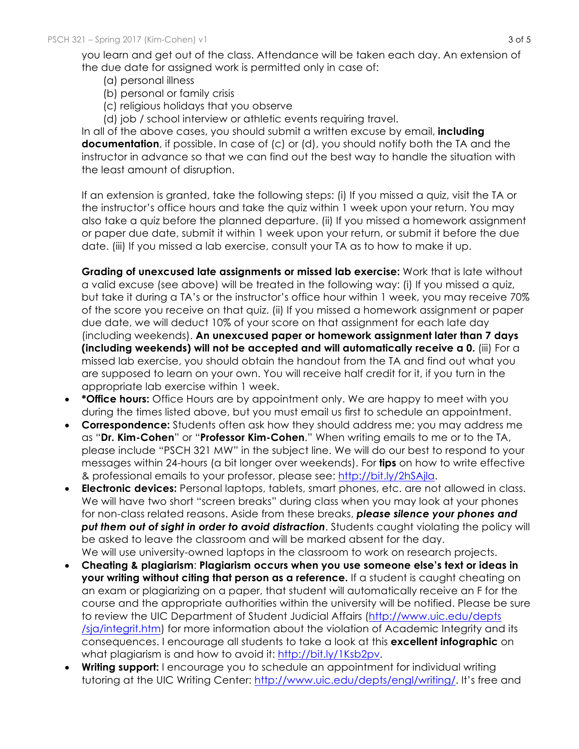you learn and get out of the class. Attendance will be taken each day. An extension of the due date for assigned work is permitted only in case of:

- (a) personal illness
- (b) personal or family crisis
- (c) religious holidays that you observe
- (d) job / school interview or athletic events requiring travel.

In all of the above cases, you should submit a written excuse by email, **including documentation**, if possible. In case of (c) or (d), you should notify both the TA and the instructor in advance so that we can find out the best way to handle the situation with the least amount of disruption.

If an extension is granted, take the following steps: (i) If you missed a quiz, visit the TA or the instructor's office hours and take the quiz within 1 week upon your return. You may also take a quiz before the planned departure. (ii) If you missed a homework assignment or paper due date, submit it within 1 week upon your return, or submit it before the due date. (iii) If you missed a lab exercise, consult your TA as to how to make it up.

**Grading of unexcused late assignments or missed lab exercise:** Work that is late without a valid excuse (see above) will be treated in the following way: (i) If you missed a quiz, but take it during a TA's or the instructor's office hour within 1 week, you may receive 70% of the score you receive on that quiz. (ii) If you missed a homework assignment or paper due date, we will deduct 10% of your score on that assignment for each late day (including weekends). **An unexcused paper or homework assignment later than 7 days (including weekends) will not be accepted and will automatically receive a 0.** (iii) For a missed lab exercise, you should obtain the handout from the TA and find out what you are supposed to learn on your own. You will receive half credit for it, if you turn in the appropriate lab exercise within 1 week.

- **\*Office hours:** Office Hours are by appointment only. We are happy to meet with you during the times listed above, but you must email us first to schedule an appointment.
- **Correspondence:** Students often ask how they should address me; you may address me as "**Dr. Kim-Cohen**" or "**Professor Kim-Cohen**." When writing emails to me or to the TA, please include "PSCH 321 MW" in the subject line. We will do our best to respond to your messages within 24-hours (a bit longer over weekends). For **tips** on how to write effective & professional emails to your professor, please see: [http://bit.ly/2hSAjla.](http://bit.ly/2hSAjla)
- **Electronic devices:** Personal laptops, tablets, smart phones, etc. are not allowed in class. We will have two short "screen breaks" during class when you may look at your phones for non-class related reasons. Aside from these breaks, *please silence your phones and put them out of sight in order to avoid distraction*. Students caught violating the policy will be asked to leave the classroom and will be marked absent for the day. We will use university-owned laptops in the classroom to work on research projects.
- **Cheating & plagiarism**: **Plagiarism occurs when you use someone else's text or ideas in your writing without citing that person as a reference.** If a student is caught cheating on an exam or plagiarizing on a paper, that student will automatically receive an F for the course and the appropriate authorities within the university will be notified. Please be sure to review the UIC Department of Student Judicial Affairs [\(http://www.uic.edu/depts](http://www.uic.edu/depts /sja/integrit.htm) [/sja/integrit.htm](http://www.uic.edu/depts /sja/integrit.htm)) for more information about the violation of Academic Integrity and its consequences. I encourage all students to take a look at this **excellent infographic** on what plagiarism is and how to avoid it: [http://bit.ly/1Ksb2pv.](http://bit.ly/1Ksb2pv)
- **Writing support:** I encourage you to schedule an appointment for individual writing tutoring at the UIC Writing Center:<http://www.uic.edu/depts/engl/writing/>. It's free and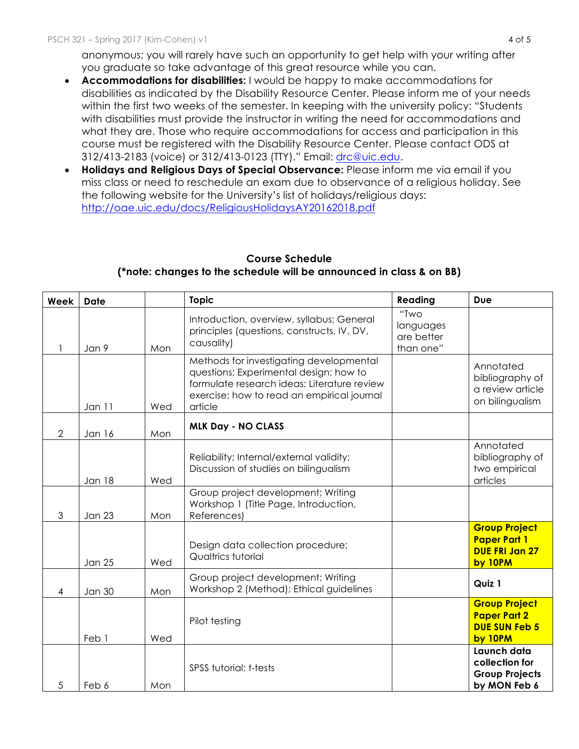anonymous; you will rarely have such an opportunity to get help with your writing after you graduate so take advantage of this great resource while you can.

- **Accommodations for disabilities:** I would be happy to make accommodations for disabilities as indicated by the Disability Resource Center. Please inform me of your needs within the first two weeks of the semester. In keeping with the university policy: "Students with disabilities must provide the instructor in writing the need for accommodations and what they are. Those who require accommodations for access and participation in this course must be registered with the Disability Resource Center. Please contact ODS at 312/413-2183 (voice) or 312/413-0123 (TTY)." Email: [drc@uic.edu](mailto:drc@uic.edu).
- **Holidays and Religious Days of Special Observance:** Please inform me via email if you miss class or need to reschedule an exam due to observance of a religious holiday. See the following website for the University's list of holidays/religious days: <http://oae.uic.edu/docs/ReligiousHolidaysAY20162018.pdf>

| Week           | <b>Date</b>   |     | <b>Topic</b>                                                                                                                                                                              | Reading                                      | <b>Due</b>                                                                      |
|----------------|---------------|-----|-------------------------------------------------------------------------------------------------------------------------------------------------------------------------------------------|----------------------------------------------|---------------------------------------------------------------------------------|
|                | Jan 9         | Mon | Introduction, overview, syllabus; General<br>principles (questions, constructs, IV, DV,<br>causality)                                                                                     | "Two<br>languages<br>are better<br>than one" |                                                                                 |
|                | Jan 11        | Wed | Methods for investigating developmental<br>questions; Experimental design; how to<br>formulate research ideas; Literature review<br>exercise; how to read an empirical journal<br>article |                                              | Annotated<br>bibliography of<br>a review article<br>on bilingualism             |
| $\overline{2}$ | Jan 16        | Mon | <b>MLK Day - NO CLASS</b>                                                                                                                                                                 |                                              |                                                                                 |
|                | <b>Jan 18</b> | Wed | Reliability; Internal/external validity;<br>Discussion of studies on bilingualism                                                                                                         |                                              | Annotated<br>bibliography of<br>two empirical<br>articles                       |
| 3              | <b>Jan 23</b> | Mon | Group project development; Writing<br>Workshop 1 (Title Page, Introduction,<br>References)                                                                                                |                                              |                                                                                 |
|                | <b>Jan 25</b> | Wed | Design data collection procedure;<br>Qualtrics tutorial                                                                                                                                   |                                              | <b>Group Project</b><br><b>Paper Part 1</b><br><b>DUE FRI Jan 27</b><br>by 10PM |
| 4              | <b>Jan 30</b> | Mon | Group project development; Writing<br>Workshop 2 (Method); Ethical guidelines                                                                                                             |                                              | Quiz 1                                                                          |
|                | Feb 1         | Wed | Pilot testing                                                                                                                                                                             |                                              | <b>Group Project</b><br><b>Paper Part 2</b><br><b>DUE SUN Feb 5</b><br>by 10PM  |
| 5              | Feb 6         | Mon | <b>SPSS tutorial: t-tests</b>                                                                                                                                                             |                                              | Launch data<br>collection for<br><b>Group Projects</b><br>by MON Feb 6          |

## **Course Schedule (\*note: changes to the schedule will be announced in class & on BB)**